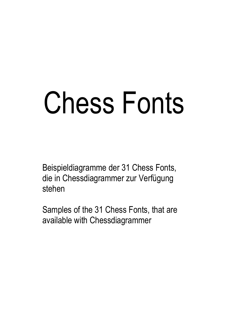# Chess Fonts

Beispieldiagramme der 31 Chess Fonts, die in Chessdiagrammer zur Verfügung stehen

Samples of the 31 Chess Fonts, that are available with Chessdiagrammer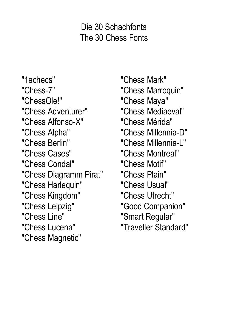# Die 30 Schachfonts The 30 Chess Fonts

"1echecs" "Chess-7" "ChessOle!" "Chess Adventurer" "Chess Alfonso-X" "Chess Alpha" "Chess Berlin" "Chess Cases" "Chess Condal" "Chess Diagramm Pirat" "Chess Harlequin" "Chess Kingdom" "Chess Leipzig" "Chess Line" "Chess Lucena" "Chess Magnetic"

"Chess Mark" "Chess Marroquin" "Chess Maya" "Chess Mediaeval" "Chess Mérida" "Chess Millennia-D" "Chess Millennia-L" "Chess Montreal" "Chess Motif" "Chess Plain" "Chess Usual" "Chess Utrecht" "Good Companion" "Smart Regular" "Traveller Standard"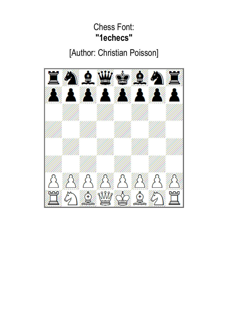#### Chess Font: **"1echecs"**

[Author: Christian Poisson]

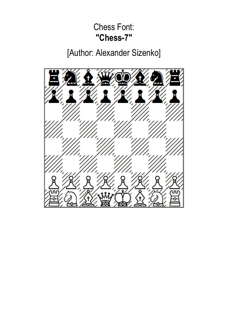#### Chess Font: **"Chess-7"**

[Author: Alexander Sizenko]

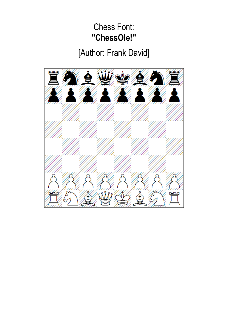## Chess Font: **"ChessOle!"**

[Author: Frank David]

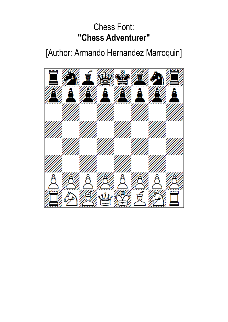## Chess Font: **"Chess Adventurer"**

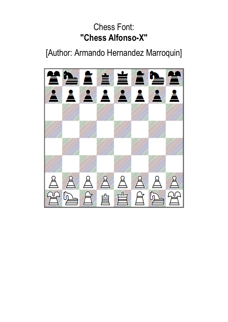# Chess Font: **"Chess Alfonso-X"**

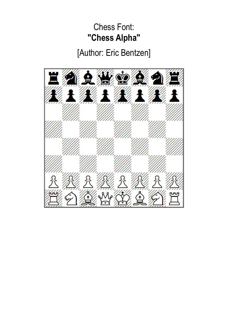# Chess Font: **"Chess Alpha"**

# [Author: Eric Bentzen]

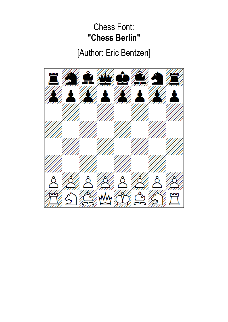# Chess Font: **"Chess Berlin"**

# [Author: Eric Bentzen]

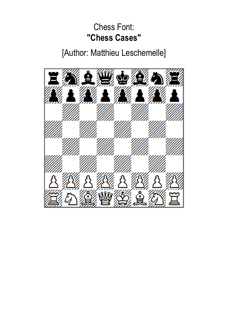## Chess Font: **"Chess Cases"**

[Author: Matthieu Leschemelle]

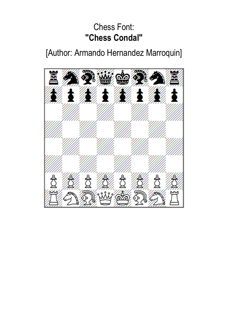## Chess Font: **"Chess Condal"**

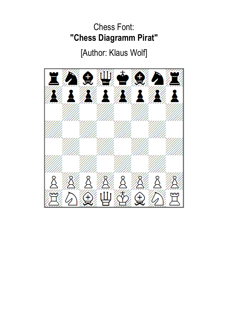# Chess Font: **"Chess Diagramm Pirat"**

# [Author: Klaus Wolf]

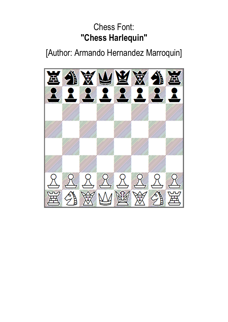# Chess Font: **"Chess Harlequin"**

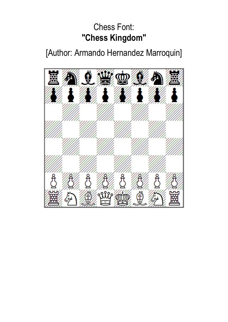# Chess Font: **"Chess Kingdom"**

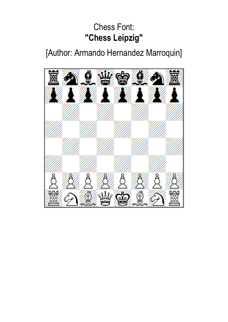# Chess Font: **"Chess Leipzig"**

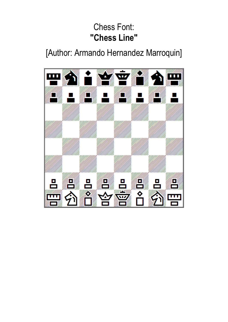# Chess Font: **"Chess Line"**

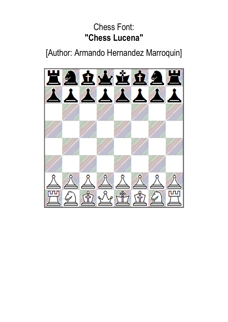# Chess Font: **"Chess Lucena"**

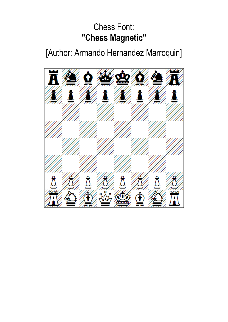# Chess Font: **"Chess Magnetic"**

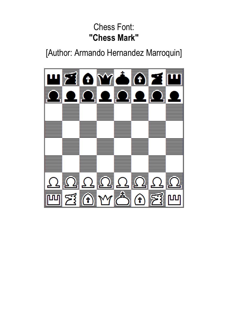# Chess Font: **"Chess Mark"**

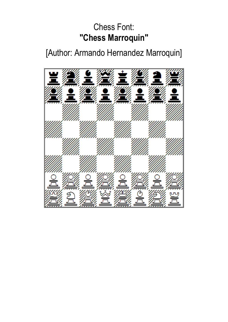# Chess Font: **"Chess Marroquin"**

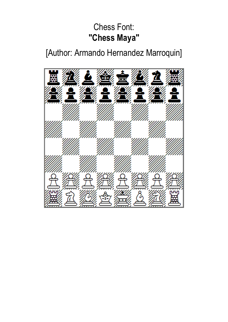# Chess Font: **"Chess Maya"**

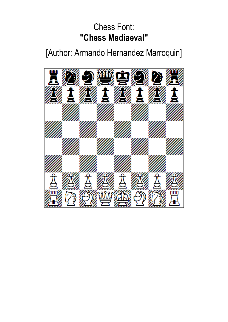# Chess Font: **"Chess Mediaeval"**

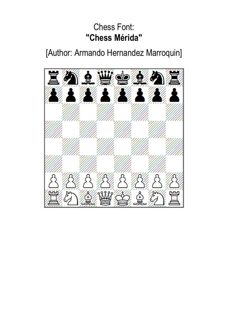## Chess Font: **"Chess Mérida"**

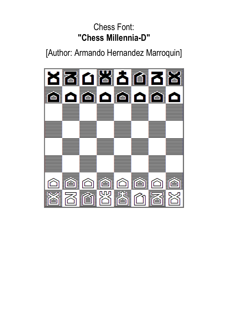# Chess Font: **"Chess Millennia-D"**

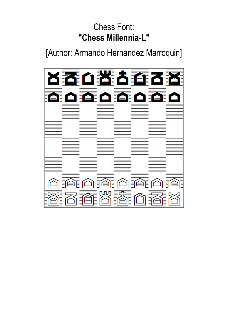# Chess Font: **"Chess Millennia-L"**

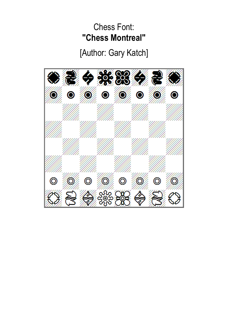#### Chess Font: **"Chess Montreal"**

# [Author: Gary Katch]

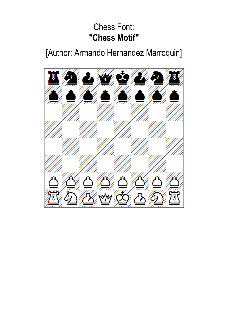# Chess Font: **"Chess Motif"**

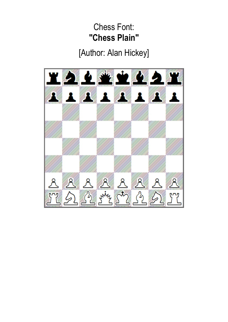### Chess Font: **"Chess Plain"**

# [Author: Alan Hickey]

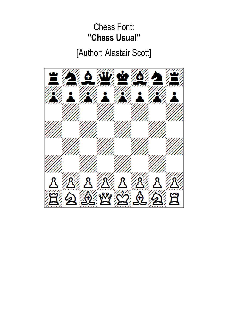## Chess Font: **"Chess Usual"**

[Author: Alastair Scott]

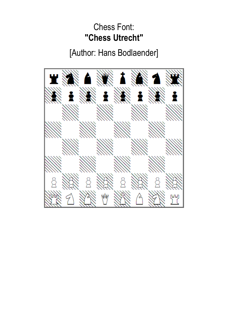## Chess Font: **"Chess Utrecht"**

[Author: Hans Bodlaender]

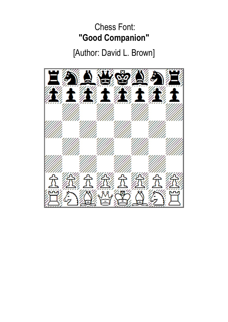# Chess Font: **"Good Companion"**

[Author: David L. Brown]

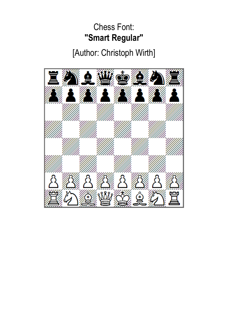# Chess Font: **"Smart Regular"**

[Author: Christoph Wirth]